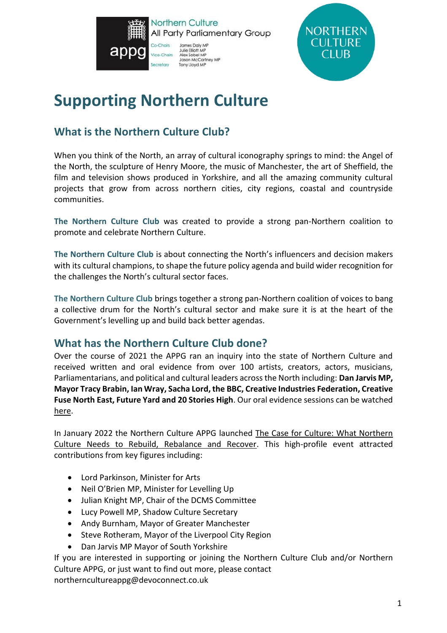



# **Supporting Northern Culture**

# **What is the Northern Culture Club?**

When you think of the North, an array of cultural iconography springs to mind: the Angel of the North, the sculpture of Henry Moore, the music of Manchester, the art of Sheffield, the film and television shows produced in Yorkshire, and all the amazing community cultural projects that grow from across northern cities, city regions, coastal and countryside communities.

**The Northern Culture Club** was created to provide a strong pan-Northern coalition to promote and celebrate Northern Culture.

**The Northern Culture Club** is about connecting the North's influencers and decision makers with its cultural champions, to shape the future policy agenda and build wider recognition for the challenges the North's cultural sector faces.

**The Northern Culture Club** brings together a strong pan-Northern coalition of voices to bang a collective drum for the North's cultural sector and make sure it is at the heart of the Government's levelling up and build back better agendas.

## **What has the Northern Culture Club done?**

Over the course of 2021 the APPG ran an inquiry into the state of Northern Culture and received written and oral evidence from over 100 artists, creators, actors, musicians, Parliamentarians, and political and cultural leaders across the North including: **Dan Jarvis MP, Mayor Tracy Brabin, Ian Wray, Sacha Lord, the BBC, Creative Industries Federation, Creative Fuse North East, Future Yard and 20 Stories High**. Our oral evidence sessions can be watched [here.](https://devoconnect.lt.acemlnb.com/Prod/link-tracker?notrack=1¬rack=1¬rack=1&redirectUrl=aHR0cHMlM0ElMkYlMkZkZXZvY29ubmVjdC5sdC5hY2VtbG5iLmNvbSUyRlByb2QlMkZsaW5rLXRyYWNrZXIlM0Zub3RyYWNrJTNEMSUyNm5vdHJhY2slM0QxJTI2cmVkaXJlY3RVcmwlM0RhSFIwY0hNbE0wRWxNa1lsTWtaNWIzVjBkV0psTG1OdmJTVXlSbkJzWVhsc2FYTjBKVE5HYkdsemRDVXpSRkJNTUVWWWFHOVdXbU5IYW0welNVazNhSEJvY0RJM1JtNVdWRWxvVXpGdVNEVSUzRCUyNnNpZyUzREpBZ0YyV2dORk5LckdNeXNxTExkUzdxS2pvMzdtNHVhU3FIN2ROdHhKZ01UJTI2aWF0JTNEMTYzOTY3MDg0MyUyNmElM0QlMjU3QyUyNTdDMjUyMTI0OTU5JTI1N0MlMjU3QyUyNmFjY291bnQlM0RkZXZvY29ubmVjdCUyNTJFYWN0aXZlaG9zdGVkJTI1MkVjb20lMjZlbWFpbCUzRG5tR1BvUUVhWUh6VXVneG45YjduSW55T0pQQmtDRUtYZHBjNnZ3a0g2VFUlMjUzRCUyNnMlM0RjYTE4YzkxZTg5OTk1ZmNmMGE5OThmYjU4MDk4ZTE1YyUyNmklM0QxMDg2QTEyMDBBMEExMDk0OA==&sig=6gBt6R1Ur9sbzUNSQTe24S6oFfs2SS5LYiJwKKA6KpjD&iat=1641921046&a=%7C%7C252124959%7C%7C&account=devoconnect%2Eactivehosted%2Ecom&email=JB1OBwKEP8b%2BkbfQdke%2BvywVdZgX4fCt6SCd2XbWskc%3D&s=bG91aXNAZGV2b2Nvbm5lY3QuY28udWs=&i=1090A1204A39A10967)

In January 2022 the Northern Culture APPG launched [The Case for Culture: What Northern](https://northernculture.org.uk/wp-content/uploads/2022/01/NCAPPG-The-Case-for-Culture-Report-1.pdf)  [Culture Needs to Rebuild, Rebalance and Recover.](https://northernculture.org.uk/wp-content/uploads/2022/01/NCAPPG-The-Case-for-Culture-Report-1.pdf) This high-profile event attracted contributions from key figures including:

- Lord Parkinson, Minister for Arts
- Neil O'Brien MP, Minister for Levelling Up
- Julian Knight MP, Chair of the DCMS Committee
- Lucy Powell MP, Shadow Culture Secretary
- Andy Burnham, Mayor of Greater Manchester
- Steve Rotheram, Mayor of the Liverpool City Region
- Dan Jarvis MP Mayor of South Yorkshire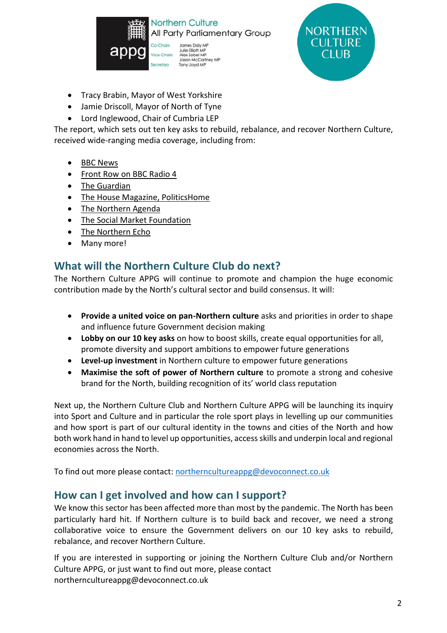



- Tracy Brabin, Mayor of West Yorkshire
- Jamie Driscoll, Mayor of North of Tyne
- Lord Inglewood, Chair of Cumbria LEP

The report, which sets out ten key asks to rebuild, rebalance, and recover Northern Culture, received wide-ranging media coverage, including from:

- [BBC News](https://www.bbc.co.uk/news/entertainment-arts-60057184)
- [Front Row on BBC Radio 4](https://www.bbc.co.uk/sounds/play/m0013rs9)
- [The Guardian](https://www.theguardian.com/uk-news/2022/jan/19/northern-leaders-to-put-culture-at-centre-of-regions-post-pandemic-recovery)
- [The House Magazine, PoliticsHome](https://www.politicshome.com/thehouse/article/northern-culture-must-be-at-the-heart-of-post-pandemic-recovery-to-truly-level-up)
- [The Northern Agenda](https://podfollow.com/the-northern-agenda/view)
- [The Social Market Foundation](https://smfthinktank.createsend.com/campaigns/reports/viewCampaign.aspx?d=t&c=C7744FC6F3472499&ID=BB16266E12E89A432540EF23F30FEDED&temp=False&tx=0&source=Report)
- [The Northern Echo](https://www.thenorthernecho.co.uk/news/19857172.plea-invest-northern-culture-levelling-pledge/)
- Many more!

### **What will the Northern Culture Club do next?**

The Northern Culture APPG will continue to promote and champion the huge economic contribution made by the North's cultural sector and build consensus. It will:

- **Provide a united voice on pan-Northern culture** asks and priorities in order to shape and influence future Government decision making
- **Lobby on our 10 key asks** on how to boost skills, create equal opportunities for all, promote diversity and support ambitions to empower future generations
- **Level-up investment** in Northern culture to empower future generations
- **Maximise the soft of power of Northern culture** to promote a strong and cohesive brand for the North, building recognition of its' world class reputation

Next up, the Northern Culture Club and Northern Culture APPG will be launching its inquiry into Sport and Culture and in particular the role sport plays in levelling up our communities and how sport is part of our cultural identity in the towns and cities of the North and how both work hand in hand to level up opportunities, access skills and underpin local and regional economies across the North.

To find out more please contact: [northerncultureappg@devoconnect.co.uk](mailto:northerncultureappg@devoconnect.co.uk)

#### **How can I get involved and how can I support?**

We know this sector has been affected more than most by the pandemic. The North has been particularly hard hit. If Northern culture is to build back and recover, we need a strong collaborative voice to ensure the Government delivers on our 10 key asks to rebuild, rebalance, and recover Northern Culture.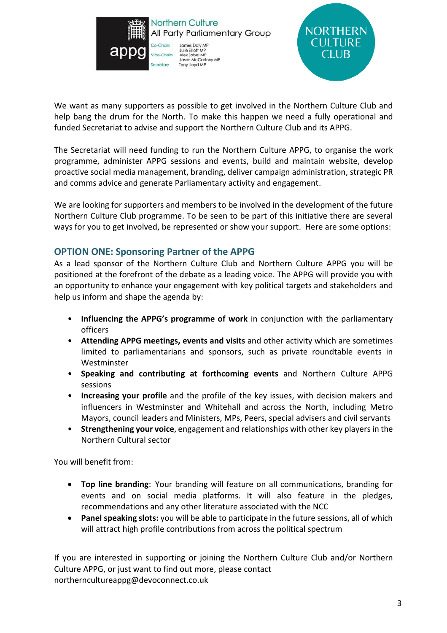



We want as many supporters as possible to get involved in the Northern Culture Club and help bang the drum for the North. To make this happen we need a fully operational and funded Secretariat to advise and support the Northern Culture Club and its APPG.

The Secretariat will need funding to run the Northern Culture APPG, to organise the work programme, administer APPG sessions and events, build and maintain website, develop proactive social media management, branding, deliver campaign administration, strategic PR and comms advice and generate Parliamentary activity and engagement.

We are looking for supporters and members to be involved in the development of the future Northern Culture Club programme. To be seen to be part of this initiative there are several ways for you to get involved, be represented or show your support. Here are some options:

#### **OPTION ONE: Sponsoring Partner of the APPG**

As a lead sponsor of the Northern Culture Club and Northern Culture APPG you will be positioned at the forefront of the debate as a leading voice. The APPG will provide you with an opportunity to enhance your engagement with key political targets and stakeholders and help us inform and shape the agenda by:

- **Influencing the APPG's programme of work** in conjunction with the parliamentary officers
- **Attending APPG meetings, events and visits** and other activity which are sometimes limited to parliamentarians and sponsors, such as private roundtable events in Westminster
- **Speaking and contributing at forthcoming events** and Northern Culture APPG sessions
- **Increasing your profile** and the profile of the key issues, with decision makers and influencers in Westminster and Whitehall and across the North, including Metro Mayors, council leaders and Ministers, MPs, Peers, special advisers and civil servants
- **Strengthening your voice**, engagement and relationships with other key players in the Northern Cultural sector

You will benefit from:

- **Top line branding**: Your branding will feature on all communications, branding for events and on social media platforms. It will also feature in the pledges, recommendations and any other literature associated with the NCC
- **Panel speaking slots:** you will be able to participate in the future sessions, all of which will attract high profile contributions from across the political spectrum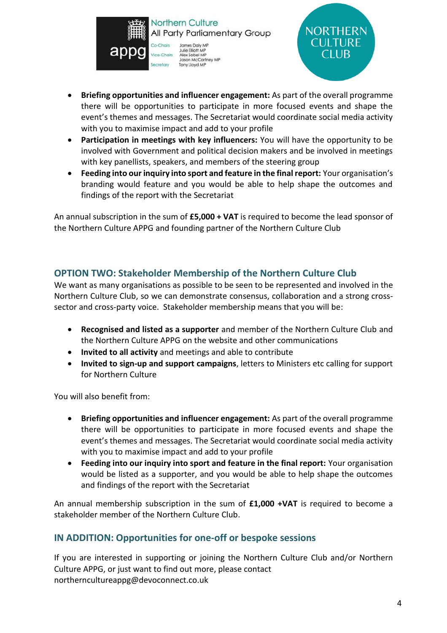



- **Briefing opportunities and influencer engagement:** As part of the overall programme there will be opportunities to participate in more focused events and shape the event's themes and messages. The Secretariat would coordinate social media activity with you to maximise impact and add to your profile
- **Participation in meetings with key influencers:** You will have the opportunity to be involved with Government and political decision makers and be involved in meetings with key panellists, speakers, and members of the steering group
- **Feeding into our inquiry into sport and feature in the final report:** Your organisation's branding would feature and you would be able to help shape the outcomes and findings of the report with the Secretariat

An annual subscription in the sum of **£5,000 + VAT** is required to become the lead sponsor of the Northern Culture APPG and founding partner of the Northern Culture Club

#### **OPTION TWO: Stakeholder Membership of the Northern Culture Club**

We want as many organisations as possible to be seen to be represented and involved in the Northern Culture Club, so we can demonstrate consensus, collaboration and a strong crosssector and cross-party voice. Stakeholder membership means that you will be:

- **Recognised and listed as a supporter** and member of the Northern Culture Club and the Northern Culture APPG on the website and other communications
- **Invited to all activity** and meetings and able to contribute
- **Invited to sign-up and support campaigns**, letters to Ministers etc calling for support for Northern Culture

You will also benefit from:

- **Briefing opportunities and influencer engagement:** As part of the overall programme there will be opportunities to participate in more focused events and shape the event's themes and messages. The Secretariat would coordinate social media activity with you to maximise impact and add to your profile
- **Feeding into our inquiry into sport and feature in the final report:** Your organisation would be listed as a supporter, and you would be able to help shape the outcomes and findings of the report with the Secretariat

An annual membership subscription in the sum of **£1,000 +VAT** is required to become a stakeholder member of the Northern Culture Club.

#### **IN ADDITION: Opportunities for one-off or bespoke sessions**